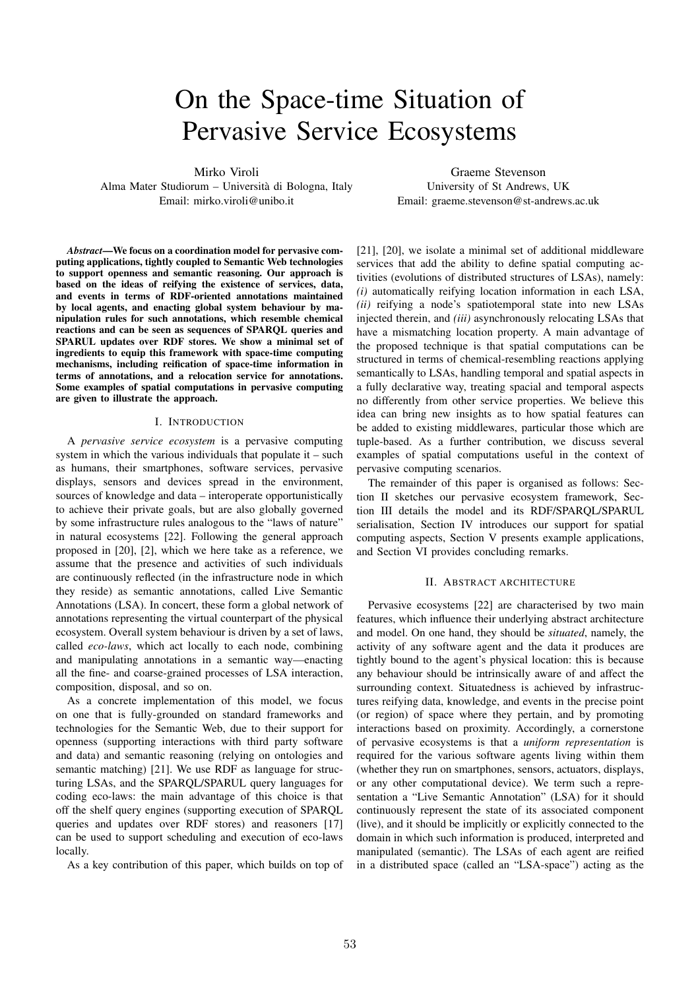# On the Space-time Situation of Pervasive Service Ecosystems

Mirko Viroli

Alma Mater Studiorum – Universita di Bologna, Italy ` Email: mirko.viroli@unibo.it

*Abstract*—We focus on a coordination model for pervasive computing applications, tightly coupled to Semantic Web technologies to support openness and semantic reasoning. Our approach is based on the ideas of reifying the existence of services, data, and events in terms of RDF-oriented annotations maintained by local agents, and enacting global system behaviour by manipulation rules for such annotations, which resemble chemical reactions and can be seen as sequences of SPARQL queries and SPARUL updates over RDF stores. We show a minimal set of ingredients to equip this framework with space-time computing mechanisms, including reification of space-time information in terms of annotations, and a relocation service for annotations. Some examples of spatial computations in pervasive computing are given to illustrate the approach.

#### I. INTRODUCTION

A *pervasive service ecosystem* is a pervasive computing system in which the various individuals that populate it – such as humans, their smartphones, software services, pervasive displays, sensors and devices spread in the environment, sources of knowledge and data – interoperate opportunistically to achieve their private goals, but are also globally governed by some infrastructure rules analogous to the "laws of nature" in natural ecosystems [22]. Following the general approach proposed in [20], [2], which we here take as a reference, we assume that the presence and activities of such individuals are continuously reflected (in the infrastructure node in which they reside) as semantic annotations, called Live Semantic Annotations (LSA). In concert, these form a global network of annotations representing the virtual counterpart of the physical ecosystem. Overall system behaviour is driven by a set of laws, called *eco-laws*, which act locally to each node, combining and manipulating annotations in a semantic way—enacting all the fine- and coarse-grained processes of LSA interaction, composition, disposal, and so on.

As a concrete implementation of this model, we focus on one that is fully-grounded on standard frameworks and technologies for the Semantic Web, due to their support for openness (supporting interactions with third party software and data) and semantic reasoning (relying on ontologies and semantic matching) [21]. We use RDF as language for structuring LSAs, and the SPARQL/SPARUL query languages for coding eco-laws: the main advantage of this choice is that off the shelf query engines (supporting execution of SPARQL queries and updates over RDF stores) and reasoners [17] can be used to support scheduling and execution of eco-laws locally.

As a key contribution of this paper, which builds on top of

Graeme Stevenson University of St Andrews, UK Email: graeme.stevenson@st-andrews.ac.uk

[21], [20], we isolate a minimal set of additional middleware services that add the ability to define spatial computing activities (evolutions of distributed structures of LSAs), namely: *(i)* automatically reifying location information in each LSA, *(ii)* reifying a node's spatiotemporal state into new LSAs injected therein, and *(iii)* asynchronously relocating LSAs that have a mismatching location property. A main advantage of the proposed technique is that spatial computations can be structured in terms of chemical-resembling reactions applying semantically to LSAs, handling temporal and spatial aspects in a fully declarative way, treating spacial and temporal aspects no differently from other service properties. We believe this idea can bring new insights as to how spatial features can be added to existing middlewares, particular those which are tuple-based. As a further contribution, we discuss several examples of spatial computations useful in the context of pervasive computing scenarios.

The remainder of this paper is organised as follows: Section II sketches our pervasive ecosystem framework, Section III details the model and its RDF/SPARQL/SPARUL serialisation, Section IV introduces our support for spatial computing aspects, Section V presents example applications, and Section VI provides concluding remarks.

#### II. ABSTRACT ARCHITECTURE

Pervasive ecosystems [22] are characterised by two main features, which influence their underlying abstract architecture and model. On one hand, they should be *situated*, namely, the activity of any software agent and the data it produces are tightly bound to the agent's physical location: this is because any behaviour should be intrinsically aware of and affect the surrounding context. Situatedness is achieved by infrastructures reifying data, knowledge, and events in the precise point (or region) of space where they pertain, and by promoting interactions based on proximity. Accordingly, a cornerstone of pervasive ecosystems is that a *uniform representation* is required for the various software agents living within them (whether they run on smartphones, sensors, actuators, displays, or any other computational device). We term such a representation a "Live Semantic Annotation" (LSA) for it should continuously represent the state of its associated component (live), and it should be implicitly or explicitly connected to the domain in which such information is produced, interpreted and manipulated (semantic). The LSAs of each agent are reified in a distributed space (called an "LSA-space") acting as the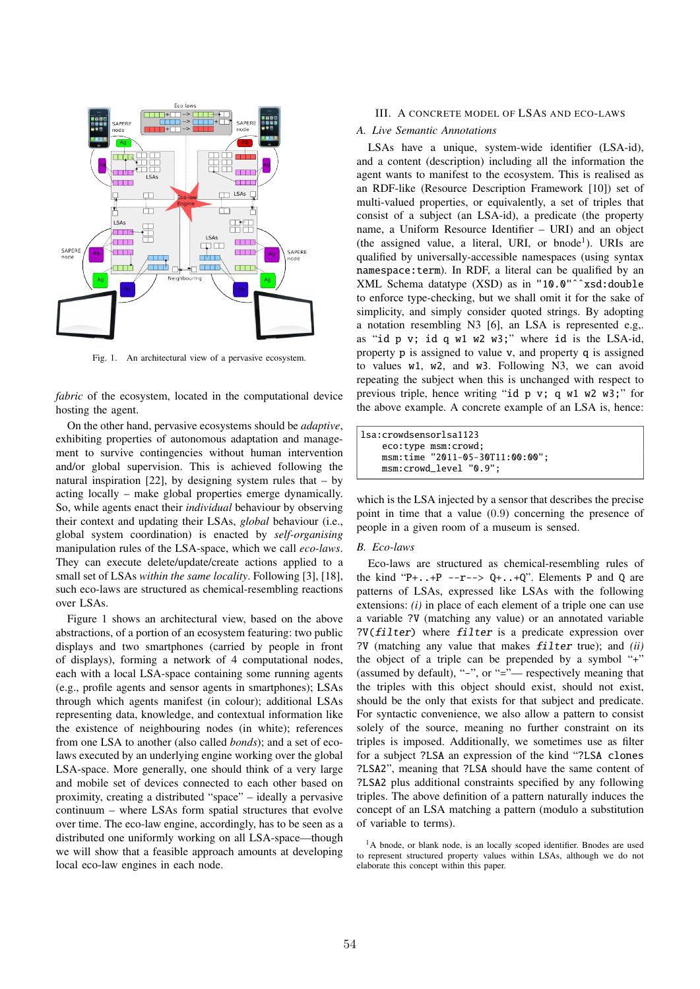

Fig. 1. An architectural view of a pervasive ecosystem.

*fabric* of the ecosystem, located in the computational device hosting the agent.

On the other hand, pervasive ecosystems should be *adaptive*, exhibiting properties of autonomous adaptation and management to survive contingencies without human intervention and/or global supervision. This is achieved following the natural inspiration [22], by designing system rules that  $-$  by acting locally – make global properties emerge dynamically. So, while agents enact their *individual* behaviour by observing their context and updating their LSAs, *global* behaviour (i.e., global system coordination) is enacted by *self-organising* manipulation rules of the LSA-space, which we call *eco-laws*. They can execute delete/update/create actions applied to a small set of LSAs *within the same locality*. Following [3], [18], such eco-laws are structured as chemical-resembling reactions over LSAs.

Figure 1 shows an architectural view, based on the above abstractions, of a portion of an ecosystem featuring: two public displays and two smartphones (carried by people in front of displays), forming a network of 4 computational nodes, each with a local LSA-space containing some running agents (e.g., profile agents and sensor agents in smartphones); LSAs through which agents manifest (in colour); additional LSAs representing data, knowledge, and contextual information like the existence of neighbouring nodes (in white); references from one LSA to another (also called *bonds*); and a set of ecolaws executed by an underlying engine working over the global LSA-space. More generally, one should think of a very large and mobile set of devices connected to each other based on proximity, creating a distributed "space" – ideally a pervasive continuum – where LSAs form spatial structures that evolve over time. The eco-law engine, accordingly, has to be seen as a distributed one uniformly working on all LSA-space—though we will show that a feasible approach amounts at developing local eco-law engines in each node.

# III. A CONCRETE MODEL OF LSAS AND ECO-LAWS

#### *A. Live Semantic Annotations*

LSAs have a unique, system-wide identifier (LSA-id), and a content (description) including all the information the agent wants to manifest to the ecosystem. This is realised as an RDF-like (Resource Description Framework [10]) set of multi-valued properties, or equivalently, a set of triples that consist of a subject (an LSA-id), a predicate (the property name, a Uniform Resource Identifier – URI) and an object (the assigned value, a literal, URI, or bnode<sup>1</sup>). URIs are qualified by universally-accessible namespaces (using syntax namespace:term). In RDF, a literal can be qualified by an XML Schema datatype (XSD) as in "10.0"ˆˆxsd:double to enforce type-checking, but we shall omit it for the sake of simplicity, and simply consider quoted strings. By adopting a notation resembling N3 [6], an LSA is represented e.g,. as "id p v; id q w1 w2 w3;" where id is the LSA-id, property p is assigned to value v, and property q is assigned to values w1, w2, and w3. Following N3, we can avoid repeating the subject when this is unchanged with respect to previous triple, hence writing "id p v; q w1 w2 w3;" for the above example. A concrete example of an LSA is, hence:

| lsa:crowdsensorlsa1123 |                                 |
|------------------------|---------------------------------|
|                        | eco:type msm:crowd;             |
|                        | msm:time "2011-05-30T11:00:00"; |
|                        | msm:crowd_level "0.9";          |

which is the LSA injected by a sensor that describes the precise point in time that a value (0*.*9) concerning the presence of people in a given room of a museum is sensed.

## *B. Eco-laws*

Eco-laws are structured as chemical-resembling rules of the kind "P+ $\ldots$ +P -- $r$ --> Q+ $\ldots$ +Q". Elements P and Q are patterns of LSAs, expressed like LSAs with the following extensions: *(i)* in place of each element of a triple one can use a variable ?V (matching any value) or an annotated variable ?V(*filter*) where *filter* is a predicate expression over ?V (matching any value that makes *filter* true); and *(ii)* the object of a triple can be prepended by a symbol "+" (assumed by default), "-", or "="— respectively meaning that the triples with this object should exist, should not exist, should be the only that exists for that subject and predicate. For syntactic convenience, we also allow a pattern to consist solely of the source, meaning no further constraint on its triples is imposed. Additionally, we sometimes use as filter for a subject ?LSA an expression of the kind "?LSA clones ?LSA2", meaning that ?LSA should have the same content of ?LSA2 plus additional constraints specified by any following triples. The above definition of a pattern naturally induces the concept of an LSA matching a pattern (modulo a substitution of variable to terms).

<sup>1</sup>A bnode, or blank node, is an locally scoped identifier. Bnodes are used to represent structured property values within LSAs, although we do not elaborate this concept within this paper.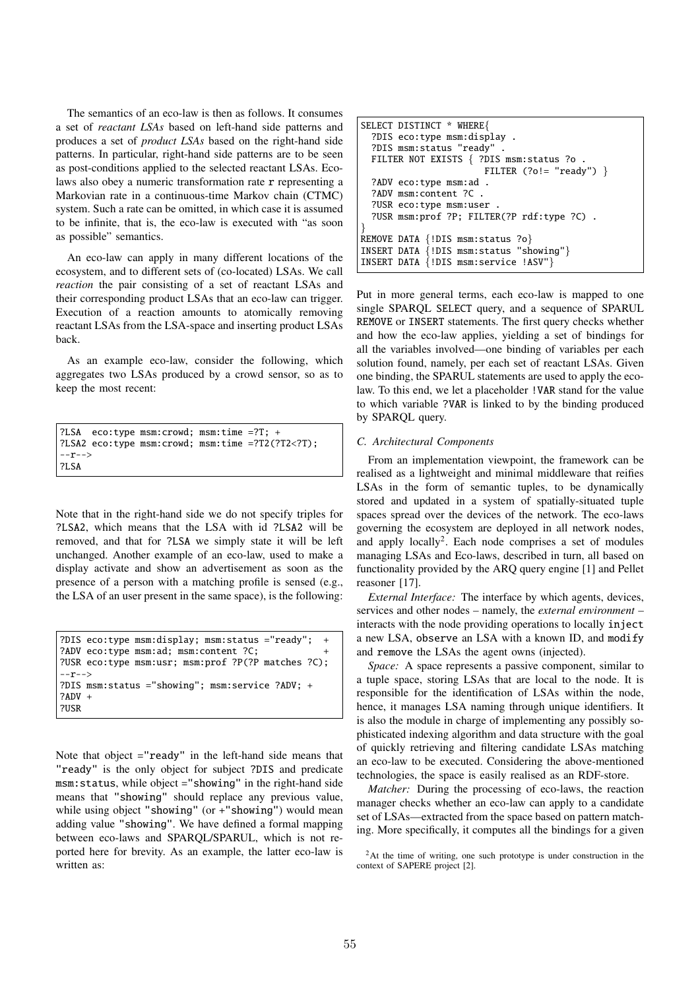The semantics of an eco-law is then as follows. It consumes a set of *reactant LSAs* based on left-hand side patterns and produces a set of *product LSAs* based on the right-hand side patterns. In particular, right-hand side patterns are to be seen as post-conditions applied to the selected reactant LSAs. Ecolaws also obey a numeric transformation rate r representing a Markovian rate in a continuous-time Markov chain (CTMC) system. Such a rate can be omitted, in which case it is assumed to be infinite, that is, the eco-law is executed with "as soon as possible" semantics.

An eco-law can apply in many different locations of the ecosystem, and to different sets of (co-located) LSAs. We call *reaction* the pair consisting of a set of reactant LSAs and their corresponding product LSAs that an eco-law can trigger. Execution of a reaction amounts to atomically removing reactant LSAs from the LSA-space and inserting product LSAs back.

As an example eco-law, consider the following, which aggregates two LSAs produced by a crowd sensor, so as to keep the most recent:

```
?LSA eco:type msm:crowd; msm:time =?T; +
?LSA2 eco:type msm:crowd; msm:time =?T2(?T2<?T);
--r-->
?LSA
```
Note that in the right-hand side we do not specify triples for ?LSA2, which means that the LSA with id ?LSA2 will be removed, and that for ?LSA we simply state it will be left unchanged. Another example of an eco-law, used to make a display activate and show an advertisement as soon as the presence of a person with a matching profile is sensed (e.g., the LSA of an user present in the same space), is the following:

```
?DIS eco:type msm:display; msm:status ="ready"; +
?ADV eco:type msm:ad; msm:content ?C; +
?USR eco:type msm:usr; msm:prof ?P(?P matches ?C);
--r--&>?DIS msm:status ="showing"; msm:service ?ADV; +
7ADV +
?USR
```
Note that object ="ready" in the left-hand side means that "ready" is the only object for subject ?DIS and predicate msm:status, while object ="showing" in the right-hand side means that "showing" should replace any previous value, while using object "showing" (or +"showing") would mean adding value "showing". We have defined a formal mapping between eco-laws and SPARQL/SPARUL, which is not reported here for brevity. As an example, the latter eco-law is written as:

```
SELECT DISTINCT * WHERE{
  ?DIS eco:type msm:display .
  ?DIS msm:status "ready" .
  FILTER NOT EXISTS { ?DIS msm:status ?o .
                        FILTER (?o!= "ready") }
  ?ADV eco:type msm:ad .
  ?ADV msm:content ?C .
  ?USR eco:type msm:user .
  ?USR msm:prof ?P; FILTER(?P rdf:type ?C) .
}
REMOVE DATA {!DIS msm:status ?o}
INSERT DATA {!DIS msm:status "showing"}
INSERT DATA {!DIS msm:service !ASV"}
```
Put in more general terms, each eco-law is mapped to one single SPARQL SELECT query, and a sequence of SPARUL REMOVE or INSERT statements. The first query checks whether and how the eco-law applies, yielding a set of bindings for all the variables involved—one binding of variables per each solution found, namely, per each set of reactant LSAs. Given one binding, the SPARUL statements are used to apply the ecolaw. To this end, we let a placeholder !VAR stand for the value to which variable ?VAR is linked to by the binding produced by SPARQL query.

# *C. Architectural Components*

From an implementation viewpoint, the framework can be realised as a lightweight and minimal middleware that reifies LSAs in the form of semantic tuples, to be dynamically stored and updated in a system of spatially-situated tuple spaces spread over the devices of the network. The eco-laws governing the ecosystem are deployed in all network nodes, and apply locally<sup>2</sup>. Each node comprises a set of modules managing LSAs and Eco-laws, described in turn, all based on functionality provided by the ARQ query engine [1] and Pellet reasoner [17].

*External Interface:* The interface by which agents, devices, services and other nodes – namely, the *external environment* – interacts with the node providing operations to locally inject a new LSA, observe an LSA with a known ID, and modify and remove the LSAs the agent owns (injected).

*Space:* A space represents a passive component, similar to a tuple space, storing LSAs that are local to the node. It is responsible for the identification of LSAs within the node, hence, it manages LSA naming through unique identifiers. It is also the module in charge of implementing any possibly sophisticated indexing algorithm and data structure with the goal of quickly retrieving and filtering candidate LSAs matching an eco-law to be executed. Considering the above-mentioned technologies, the space is easily realised as an RDF-store.

*Matcher:* During the processing of eco-laws, the reaction manager checks whether an eco-law can apply to a candidate set of LSAs—extracted from the space based on pattern matching. More specifically, it computes all the bindings for a given

<sup>2</sup>At the time of writing, one such prototype is under construction in the context of SAPERE project [2].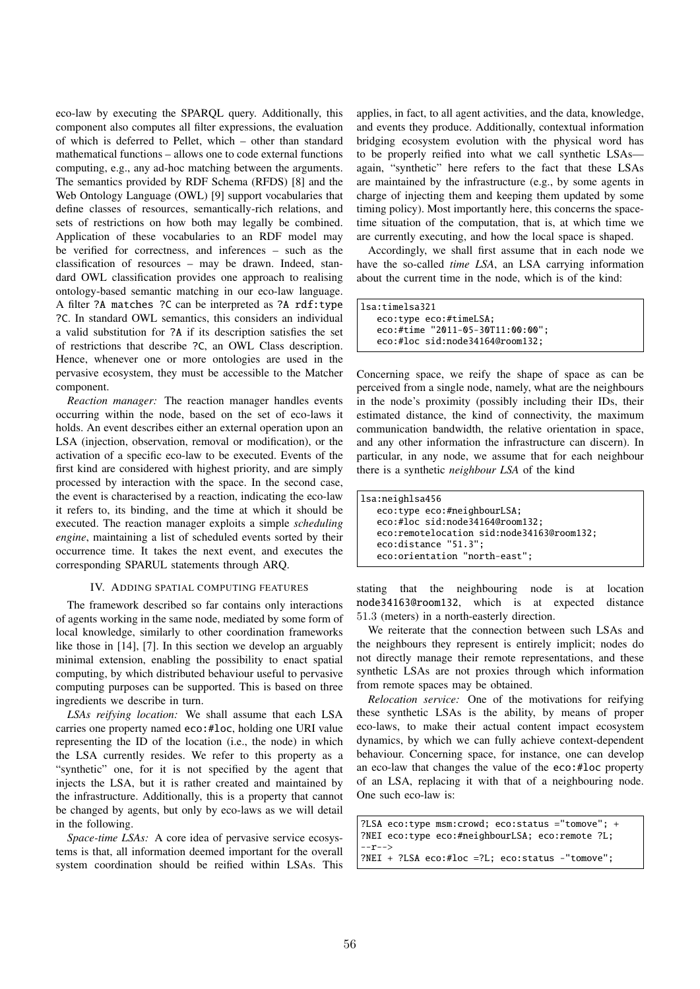eco-law by executing the SPARQL query. Additionally, this component also computes all filter expressions, the evaluation of which is deferred to Pellet, which – other than standard mathematical functions – allows one to code external functions computing, e.g., any ad-hoc matching between the arguments. The semantics provided by RDF Schema (RFDS) [8] and the Web Ontology Language (OWL) [9] support vocabularies that define classes of resources, semantically-rich relations, and sets of restrictions on how both may legally be combined. Application of these vocabularies to an RDF model may be verified for correctness, and inferences – such as the classification of resources – may be drawn. Indeed, standard OWL classification provides one approach to realising ontology-based semantic matching in our eco-law language. A filter ?A matches ?C can be interpreted as ?A rdf:type ?C. In standard OWL semantics, this considers an individual a valid substitution for ?A if its description satisfies the set of restrictions that describe ?C, an OWL Class description. Hence, whenever one or more ontologies are used in the pervasive ecosystem, they must be accessible to the Matcher component.

*Reaction manager:* The reaction manager handles events occurring within the node, based on the set of eco-laws it holds. An event describes either an external operation upon an LSA (injection, observation, removal or modification), or the activation of a specific eco-law to be executed. Events of the first kind are considered with highest priority, and are simply processed by interaction with the space. In the second case, the event is characterised by a reaction, indicating the eco-law it refers to, its binding, and the time at which it should be executed. The reaction manager exploits a simple *scheduling engine*, maintaining a list of scheduled events sorted by their occurrence time. It takes the next event, and executes the corresponding SPARUL statements through ARQ.

### IV. ADDING SPATIAL COMPUTING FEATURES

The framework described so far contains only interactions of agents working in the same node, mediated by some form of local knowledge, similarly to other coordination frameworks like those in [14], [7]. In this section we develop an arguably minimal extension, enabling the possibility to enact spatial computing, by which distributed behaviour useful to pervasive computing purposes can be supported. This is based on three ingredients we describe in turn.

*LSAs reifying location:* We shall assume that each LSA carries one property named eco:#loc, holding one URI value representing the ID of the location (i.e., the node) in which the LSA currently resides. We refer to this property as a "synthetic" one, for it is not specified by the agent that injects the LSA, but it is rather created and maintained by the infrastructure. Additionally, this is a property that cannot be changed by agents, but only by eco-laws as we will detail in the following.

*Space-time LSAs:* A core idea of pervasive service ecosystems is that, all information deemed important for the overall system coordination should be reified within LSAs. This applies, in fact, to all agent activities, and the data, knowledge, and events they produce. Additionally, contextual information bridging ecosystem evolution with the physical word has to be properly reified into what we call synthetic LSAs again, "synthetic" here refers to the fact that these LSAs are maintained by the infrastructure (e.g., by some agents in charge of injecting them and keeping them updated by some timing policy). Most importantly here, this concerns the spacetime situation of the computation, that is, at which time we are currently executing, and how the local space is shaped.

Accordingly, we shall first assume that in each node we have the so-called *time LSA*, an LSA carrying information about the current time in the node, which is of the kind:

```
lsa:timelsa321
   eco:type eco:#timeLSA;
   eco:#time "2011-05-30T11:00:00";
   eco:#loc sid:node34164@room132;
```
Concerning space, we reify the shape of space as can be perceived from a single node, namely, what are the neighbours in the node's proximity (possibly including their IDs, their estimated distance, the kind of connectivity, the maximum communication bandwidth, the relative orientation in space, and any other information the infrastructure can discern). In particular, in any node, we assume that for each neighbour there is a synthetic *neighbour LSA* of the kind

| lsa:neighlsa456                           |
|-------------------------------------------|
| eco:type eco:#neighbourLSA;               |
| eco:#loc sid:node34164@room132;           |
| eco:remotelocation sid:node34163@room132; |
| eco:distance "51.3";                      |
| eco:orientation "north-east";             |

stating that the neighbouring node is at location node34163@room132, which is at expected distance 51*.*3 (meters) in a north-easterly direction.

We reiterate that the connection between such LSAs and the neighbours they represent is entirely implicit; nodes do not directly manage their remote representations, and these synthetic LSAs are not proxies through which information from remote spaces may be obtained.

*Relocation service:* One of the motivations for reifying these synthetic LSAs is the ability, by means of proper eco-laws, to make their actual content impact ecosystem dynamics, by which we can fully achieve context-dependent behaviour. Concerning space, for instance, one can develop an eco-law that changes the value of the eco:#loc property of an LSA, replacing it with that of a neighbouring node. One such eco-law is:

```
?LSA eco:type msm:crowd; eco:status ="tomove"; +
?NEI eco:type eco:#neighbourLSA; eco:remote ?L;
--r-->
?NEI + ?LSA eco:#loc =?L; eco:status -"tomove";
```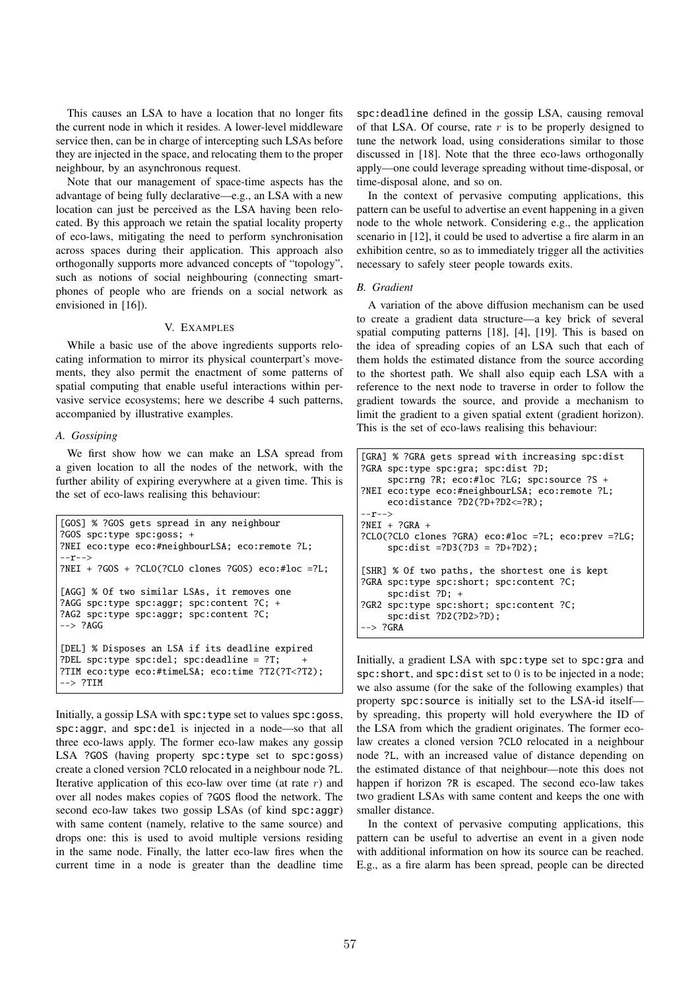This causes an LSA to have a location that no longer fits the current node in which it resides. A lower-level middleware service then, can be in charge of intercepting such LSAs before they are injected in the space, and relocating them to the proper neighbour, by an asynchronous request.

Note that our management of space-time aspects has the advantage of being fully declarative—e.g., an LSA with a new location can just be perceived as the LSA having been relocated. By this approach we retain the spatial locality property of eco-laws, mitigating the need to perform synchronisation across spaces during their application. This approach also orthogonally supports more advanced concepts of "topology", such as notions of social neighbouring (connecting smartphones of people who are friends on a social network as envisioned in [16]).

# V. EXAMPLES

While a basic use of the above ingredients supports relocating information to mirror its physical counterpart's movements, they also permit the enactment of some patterns of spatial computing that enable useful interactions within pervasive service ecosystems; here we describe 4 such patterns, accompanied by illustrative examples.

## *A. Gossiping*

We first show how we can make an LSA spread from a given location to all the nodes of the network, with the further ability of expiring everywhere at a given time. This is the set of eco-laws realising this behaviour:

```
[GOS] % ?GOS gets spread in any neighbour
?GOS spc:type spc:goss; +
?NEI eco:type eco:#neighbourLSA; eco:remote ?L;
--r-->
?NEI + ?GOS + ?CLO(?CLO clones ?GOS) eco:#loc =?L;
[AGG] % Of two similar LSAs, it removes one
?AGG spc:type spc:aggr; spc:content ?C; +
?AG2 spc:type spc:aggr; spc:content ?C;
-- ?AGG
[DEL] % Disposes an LSA if its deadline expired
?DEL spc:type spc:del; spc:deadline = ?T;
?TIM eco:type eco:#timeLSA; eco:time ?T2(?T<?T2);
 --> ?TIM
```
Initially, a gossip LSA with spc: type set to values spc: goss, spc:aggr, and spc:del is injected in a node—so that all three eco-laws apply. The former eco-law makes any gossip LSA ?GOS (having property spc:type set to spc:goss) create a cloned version ?CLO relocated in a neighbour node ?L. Iterative application of this eco-law over time (at rate *r*) and over all nodes makes copies of ?GOS flood the network. The second eco-law takes two gossip LSAs (of kind spc:aggr) with same content (namely, relative to the same source) and drops one: this is used to avoid multiple versions residing in the same node. Finally, the latter eco-law fires when the current time in a node is greater than the deadline time

spc:deadline defined in the gossip LSA, causing removal of that LSA. Of course, rate *r* is to be properly designed to tune the network load, using considerations similar to those discussed in [18]. Note that the three eco-laws orthogonally apply—one could leverage spreading without time-disposal, or time-disposal alone, and so on.

In the context of pervasive computing applications, this pattern can be useful to advertise an event happening in a given node to the whole network. Considering e.g., the application scenario in [12], it could be used to advertise a fire alarm in an exhibition centre, so as to immediately trigger all the activities necessary to safely steer people towards exits.

## *B. Gradient*

A variation of the above diffusion mechanism can be used to create a gradient data structure—a key brick of several spatial computing patterns [18], [4], [19]. This is based on the idea of spreading copies of an LSA such that each of them holds the estimated distance from the source according to the shortest path. We shall also equip each LSA with a reference to the next node to traverse in order to follow the gradient towards the source, and provide a mechanism to limit the gradient to a given spatial extent (gradient horizon). This is the set of eco-laws realising this behaviour:

```
[GRA] % ?GRA gets spread with increasing spc:dist
?GRA spc:type spc:gra; spc:dist ?D;
     spc:rng ?R; eco:#loc ?LG; spc:source ?S +
?NEI eco:type eco:#neighbourLSA; eco:remote ?L;
     eco:distance ?D2(?D+?D2<=?R);
 -r-->?NEI + ?GRA +
?CLO(?CLO clones ?GRA) eco:#loc =?L; eco:prev =?LG;
     spc:dist =?D3(?D3 = ?D+?D2);
[SHR] % Of two paths, the shortest one is kept
?GRA spc:type spc:short; spc:content ?C;
     spc:dist ?D; +
?GR2 spc:type spc:short; spc:content ?C;
     spc:dist ?D2(?D2>?D);
--> ?GRA
```
Initially, a gradient LSA with spc:type set to spc:gra and spc:short, and spc:dist set to 0 is to be injected in a node; we also assume (for the sake of the following examples) that property spc:source is initially set to the LSA-id itself by spreading, this property will hold everywhere the ID of the LSA from which the gradient originates. The former ecolaw creates a cloned version ?CLO relocated in a neighbour node ?L, with an increased value of distance depending on the estimated distance of that neighbour—note this does not happen if horizon ?R is escaped. The second eco-law takes two gradient LSAs with same content and keeps the one with smaller distance.

In the context of pervasive computing applications, this pattern can be useful to advertise an event in a given node with additional information on how its source can be reached. E.g., as a fire alarm has been spread, people can be directed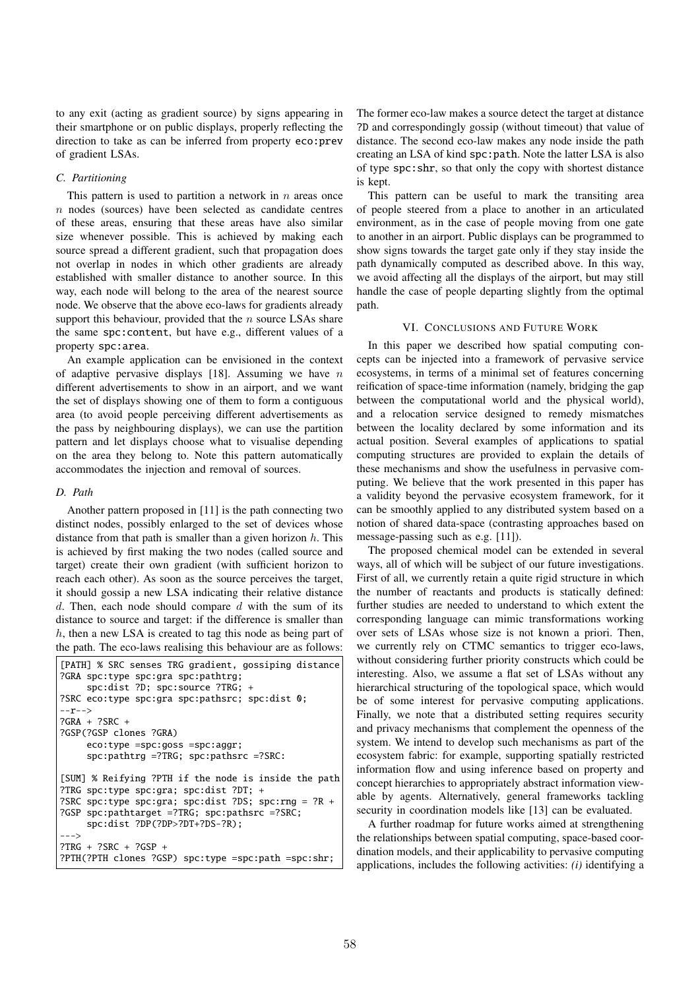to any exit (acting as gradient source) by signs appearing in their smartphone or on public displays, properly reflecting the direction to take as can be inferred from property eco:prev of gradient LSAs.

# *C. Partitioning*

This pattern is used to partition a network in *n* areas once *n* nodes (sources) have been selected as candidate centres of these areas, ensuring that these areas have also similar size whenever possible. This is achieved by making each source spread a different gradient, such that propagation does not overlap in nodes in which other gradients are already established with smaller distance to another source. In this way, each node will belong to the area of the nearest source node. We observe that the above eco-laws for gradients already support this behaviour, provided that the *n* source LSAs share the same spc:content, but have e.g., different values of a property spc:area.

An example application can be envisioned in the context of adaptive pervasive displays [18]. Assuming we have *n* different advertisements to show in an airport, and we want the set of displays showing one of them to form a contiguous area (to avoid people perceiving different advertisements as the pass by neighbouring displays), we can use the partition pattern and let displays choose what to visualise depending on the area they belong to. Note this pattern automatically accommodates the injection and removal of sources.

#### *D. Path*

Another pattern proposed in [11] is the path connecting two distinct nodes, possibly enlarged to the set of devices whose distance from that path is smaller than a given horizon *h*. This is achieved by first making the two nodes (called source and target) create their own gradient (with sufficient horizon to reach each other). As soon as the source perceives the target, it should gossip a new LSA indicating their relative distance *d*. Then, each node should compare *d* with the sum of its distance to source and target: if the difference is smaller than *h*, then a new LSA is created to tag this node as being part of the path. The eco-laws realising this behaviour are as follows:

```
[PATH] % SRC senses TRG gradient, gossiping distance
?GRA spc:type spc:gra spc:pathtrg;
     spc:dist ?D; spc:source ?TRG; +
?SRC eco:type spc:gra spc:pathsrc; spc:dist 0;
--r-->
?GRA + ?SRC +
?GSP(?GSP clones ?GRA)
     eco:type =spc:goss =spc:aggr;
     spc:pathtrg =?TRG; spc:pathsrc =?SRC:
[SUM] % Reifying ?PTH if the node is inside the path
?TRG spc:type spc:gra; spc:dist ?DT; +
?SRC spc:type spc:gra; spc:dist ?DS; spc:rng = ?R +
?GSP spc:pathtarget =?TRG; spc:pathsrc =?SRC;
     spc:dist ?DP(?DP>?DT+?DS-?R);
--->
?TRG + ?SRC + ?GSP +
?PTH(?PTH clones ?GSP) spc:type =spc:path =spc:shr;
```
The former eco-law makes a source detect the target at distance ?D and correspondingly gossip (without timeout) that value of distance. The second eco-law makes any node inside the path creating an LSA of kind spc:path. Note the latter LSA is also of type spc:shr, so that only the copy with shortest distance is kept.

This pattern can be useful to mark the transiting area of people steered from a place to another in an articulated environment, as in the case of people moving from one gate to another in an airport. Public displays can be programmed to show signs towards the target gate only if they stay inside the path dynamically computed as described above. In this way, we avoid affecting all the displays of the airport, but may still handle the case of people departing slightly from the optimal path.

# VI. CONCLUSIONS AND FUTURE WORK

In this paper we described how spatial computing concepts can be injected into a framework of pervasive service ecosystems, in terms of a minimal set of features concerning reification of space-time information (namely, bridging the gap between the computational world and the physical world), and a relocation service designed to remedy mismatches between the locality declared by some information and its actual position. Several examples of applications to spatial computing structures are provided to explain the details of these mechanisms and show the usefulness in pervasive computing. We believe that the work presented in this paper has a validity beyond the pervasive ecosystem framework, for it can be smoothly applied to any distributed system based on a notion of shared data-space (contrasting approaches based on message-passing such as e.g. [11]).

The proposed chemical model can be extended in several ways, all of which will be subject of our future investigations. First of all, we currently retain a quite rigid structure in which the number of reactants and products is statically defined: further studies are needed to understand to which extent the corresponding language can mimic transformations working over sets of LSAs whose size is not known a priori. Then, we currently rely on CTMC semantics to trigger eco-laws, without considering further priority constructs which could be interesting. Also, we assume a flat set of LSAs without any hierarchical structuring of the topological space, which would be of some interest for pervasive computing applications. Finally, we note that a distributed setting requires security and privacy mechanisms that complement the openness of the system. We intend to develop such mechanisms as part of the ecosystem fabric: for example, supporting spatially restricted information flow and using inference based on property and concept hierarchies to appropriately abstract information viewable by agents. Alternatively, general frameworks tackling security in coordination models like [13] can be evaluated.

A further roadmap for future works aimed at strengthening the relationships between spatial computing, space-based coordination models, and their applicability to pervasive computing applications, includes the following activities: *(i)* identifying a